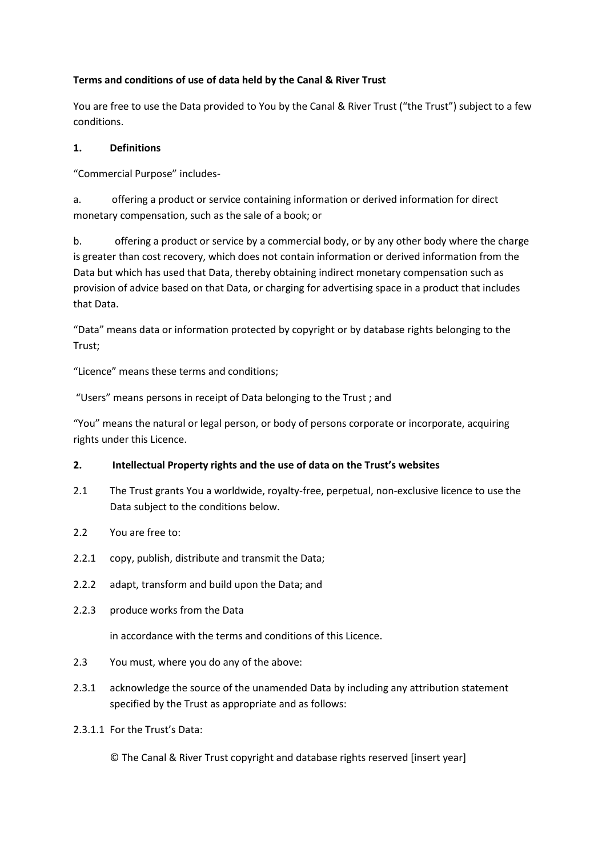# **Terms and conditions of use of data held by the Canal & River Trust**

You are free to use the Data provided to You by the Canal & River Trust ("the Trust") subject to a few conditions.

# **1. Definitions**

"Commercial Purpose" includes-

a. offering a product or service containing information or derived information for direct monetary compensation, such as the sale of a book; or

b. offering a product or service by a commercial body, or by any other body where the charge is greater than cost recovery, which does not contain information or derived information from the Data but which has used that Data, thereby obtaining indirect monetary compensation such as provision of advice based on that Data, or charging for advertising space in a product that includes that Data.

"Data" means data or information protected by copyright or by database rights belonging to the Trust;

"Licence" means these terms and conditions;

"Users" means persons in receipt of Data belonging to the Trust ; and

"You" means the natural or legal person, or body of persons corporate or incorporate, acquiring rights under this Licence.

## **2. Intellectual Property rights and the use of data on the Trust's websites**

- 2.1 The Trust grants You a worldwide, royalty-free, perpetual, non-exclusive licence to use the Data subject to the conditions below.
- 2.2 You are free to:
- 2.2.1 copy, publish, distribute and transmit the Data;
- 2.2.2 adapt, transform and build upon the Data; and
- 2.2.3 produce works from the Data

in accordance with the terms and conditions of this Licence.

- 2.3 You must, where you do any of the above:
- 2.3.1 acknowledge the source of the unamended Data by including any attribution statement specified by the Trust as appropriate and as follows:
- 2.3.1.1 For the Trust's Data:

© The Canal & River Trust copyright and database rights reserved [insert year]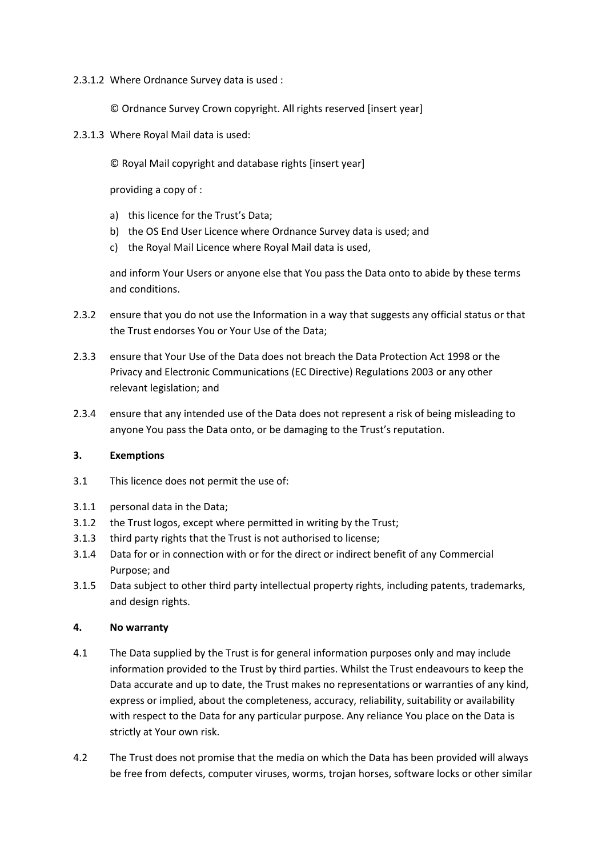### 2.3.1.2 Where Ordnance Survey data is used :

© Ordnance Survey Crown copyright. All rights reserved [insert year]

2.3.1.3 Where Royal Mail data is used:

© Royal Mail copyright and database rights [insert year]

providing a copy of :

- a) this licence for the Trust's Data;
- b) the OS End User Licence where Ordnance Survey data is used; and
- c) the Royal Mail Licence where Royal Mail data is used,

and inform Your Users or anyone else that You pass the Data onto to abide by these terms and conditions.

- 2.3.2 ensure that you do not use the Information in a way that suggests any official status or that the Trust endorses You or Your Use of the Data;
- 2.3.3 ensure that Your Use of the Data does not breach the Data Protection Act 1998 or the Privacy and Electronic Communications (EC Directive) Regulations 2003 or any other relevant legislation; and
- 2.3.4 ensure that any intended use of the Data does not represent a risk of being misleading to anyone You pass the Data onto, or be damaging to the Trust's reputation.

#### **3. Exemptions**

- 3.1 This licence does not permit the use of:
- 3.1.1 personal data in the Data;
- 3.1.2 the Trust logos, except where permitted in writing by the Trust;
- 3.1.3 third party rights that the Trust is not authorised to license;
- 3.1.4 Data for or in connection with or for the direct or indirect benefit of any Commercial Purpose; and
- 3.1.5 Data subject to other third party intellectual property rights, including patents, trademarks, and design rights.

#### **4. No warranty**

- 4.1 The Data supplied by the Trust is for general information purposes only and may include information provided to the Trust by third parties. Whilst the Trust endeavours to keep the Data accurate and up to date, the Trust makes no representations or warranties of any kind, express or implied, about the completeness, accuracy, reliability, suitability or availability with respect to the Data for any particular purpose. Any reliance You place on the Data is strictly at Your own risk.
- 4.2 The Trust does not promise that the media on which the Data has been provided will always be free from defects, computer viruses, worms, trojan horses, software locks or other similar